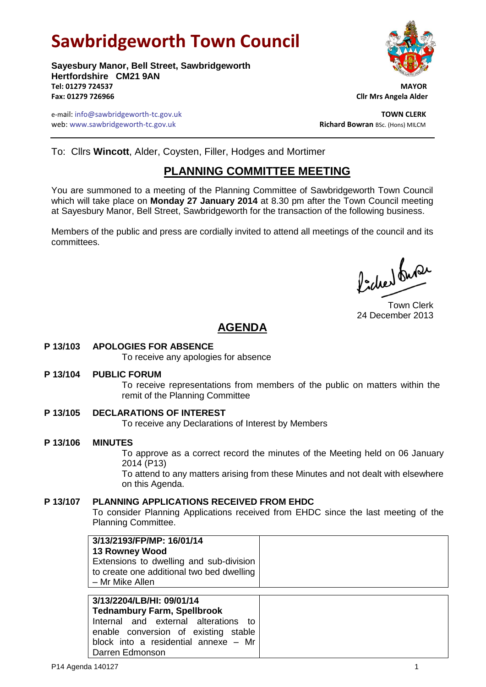# **Sawbridgeworth Town Council**

**Sayesbury Manor, Bell Street, Sawbridgeworth Hertfordshire CM21 9AN Tel: 01279 724537 MAYOR Fax: 01279 726966 Cllr Mrs Angela Alder**

e-mail: info@sawbridgeworth-tc.gov.uk **TOWN CLERK** web: www.sawbridgeworth-tc.gov.uk and the state of the state of the **Richard Bowran** BSc. (Hons) MILCM

To: Cllrs **Wincott**, Alder, Coysten, Filler, Hodges and Mortimer

## **PLANNING COMMITTEE MEETING**

You are summoned to a meeting of the Planning Committee of Sawbridgeworth Town Council which will take place on **Monday 27 January 2014** at 8.30 pm after the Town Council meeting at Sayesbury Manor, Bell Street, Sawbridgeworth for the transaction of the following business.

Members of the public and press are cordially invited to attend all meetings of the council and its committees.

Picked fuse

Town Clerk 24 December 2013

## **AGENDA**

**P 13/103 APOLOGIES FOR ABSENCE**

To receive any apologies for absence

**P 13/104 PUBLIC FORUM**

To receive representations from members of the public on matters within the remit of the Planning Committee

- **P 13/105 DECLARATIONS OF INTEREST** To receive any Declarations of Interest by Members
- **P 13/106 MINUTES** To approve as a correct record the minutes of the Meeting held on 06 January 2014 (P13) To attend to any matters arising from these Minutes and not dealt with elsewhere on this Agenda.

#### **P 13/107 PLANNING APPLICATIONS RECEIVED FROM EHDC** To consider Planning Applications received from EHDC since the last meeting of the Planning Committee.

| 3/13/2193/FP/MP: 16/01/14                 |  |
|-------------------------------------------|--|
| <b>13 Rowney Wood</b>                     |  |
| Extensions to dwelling and sub-division   |  |
| to create one additional two bed dwelling |  |
| – Mr Mike Allen                           |  |
|                                           |  |
|                                           |  |

| 3/13/2204/LB/HI: 09/01/14                      |  |  |  |  |
|------------------------------------------------|--|--|--|--|
| <b>Tednambury Farm, Spellbrook</b>             |  |  |  |  |
| Internal and external alterations to           |  |  |  |  |
| enable conversion of existing stable           |  |  |  |  |
| block into a residential annexe $-$ Mr $\vert$ |  |  |  |  |
| Darren Edmonson                                |  |  |  |  |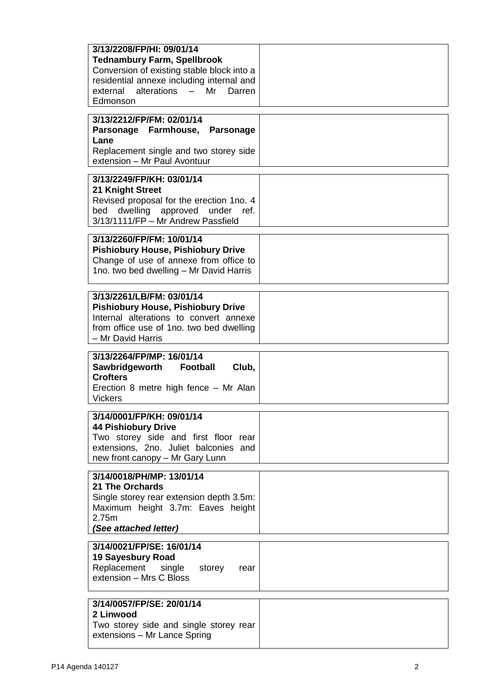| 3/13/2208/FP/HI: 09/01/14<br><b>Tednambury Farm, Spellbrook</b><br>Conversion of existing stable block into a<br>residential annexe including internal and<br>external alterations - Mr<br>Darren<br>Edmonson |  |
|---------------------------------------------------------------------------------------------------------------------------------------------------------------------------------------------------------------|--|
| 3/13/2212/FP/FM: 02/01/14<br>Parsonage Farmhouse, Parsonage<br>Lane<br>Replacement single and two storey side<br>extension - Mr Paul Avontuur                                                                 |  |
| 3/13/2249/FP/KH: 03/01/14<br>21 Knight Street<br>Revised proposal for the erection 1no. 4<br>dwelling approved under ref.<br>bed<br>3/13/1111/FP - Mr Andrew Passfield                                        |  |
| 3/13/2260/FP/FM: 10/01/14<br><b>Pishiobury House, Pishiobury Drive</b><br>Change of use of annexe from office to<br>1no. two bed dwelling - Mr David Harris                                                   |  |
| 3/13/2261/LB/FM: 03/01/14<br><b>Pishiobury House, Pishiobury Drive</b><br>Internal alterations to convert annexe<br>from office use of 1no. two bed dwelling<br>- Mr David Harris                             |  |
| 3/13/2264/FP/MP: 16/01/14<br>Sawbridgeworth<br>Club,<br><b>Football</b><br><b>Crofters</b><br>Erection 8 metre high fence - Mr Alan<br><b>Vickers</b>                                                         |  |
| 3/14/0001/FP/KH: 09/01/14<br><b>44 Pishiobury Drive</b><br>Two storey side and first floor rear<br>extensions, 2no. Juliet balconies and<br>new front canopy - Mr Gary Lunn                                   |  |
| 3/14/0018/PH/MP: 13/01/14<br><b>21 The Orchards</b><br>Single storey rear extension depth 3.5m:<br>Maximum height 3.7m: Eaves height<br>2.75m<br>(See attached letter)                                        |  |
| 3/14/0021/FP/SE: 16/01/14<br><b>19 Sayesbury Road</b><br>Replacement single storey<br>rear<br>extension - Mrs C Bloss                                                                                         |  |
| 3/14/0057/FP/SE: 20/01/14<br>2 Linwood<br>Two storey side and single storey rear<br>extensions - Mr Lance Spring                                                                                              |  |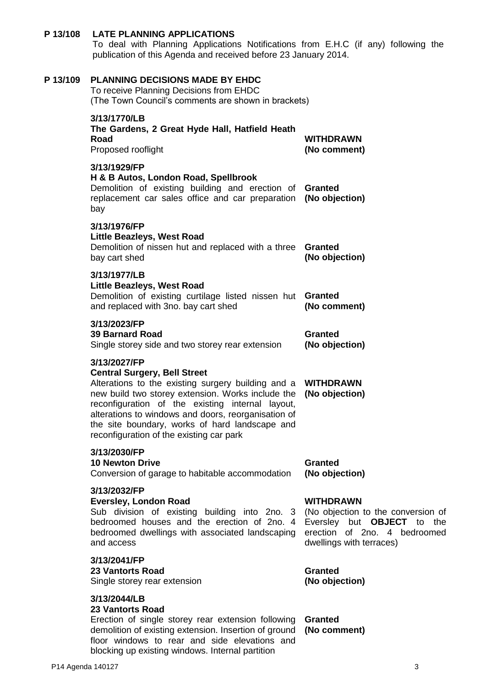## **P 13/108 LATE PLANNING APPLICATIONS**

To deal with Planning Applications Notifications from E.H.C (if any) following the publication of this Agenda and received before 23 January 2014.

| P 13/109 | <b>PLANNING DECISIONS MADE BY EHDC</b><br>To receive Planning Decisions from EHDC<br>(The Town Council's comments are shown in brackets)                                                                                                                                                                                                                                |                                                                                                                                                  |
|----------|-------------------------------------------------------------------------------------------------------------------------------------------------------------------------------------------------------------------------------------------------------------------------------------------------------------------------------------------------------------------------|--------------------------------------------------------------------------------------------------------------------------------------------------|
|          | 3/13/1770/LB<br>The Gardens, 2 Great Hyde Hall, Hatfield Heath<br>Road<br>Proposed rooflight                                                                                                                                                                                                                                                                            | <b>WITHDRAWN</b><br>(No comment)                                                                                                                 |
|          | 3/13/1929/FP<br>H & B Autos, London Road, Spellbrook<br>Demolition of existing building and erection of Granted<br>replacement car sales office and car preparation<br>bay                                                                                                                                                                                              | (No objection)                                                                                                                                   |
|          | 3/13/1976/FP<br><b>Little Beazleys, West Road</b><br>Demolition of nissen hut and replaced with a three<br>bay cart shed                                                                                                                                                                                                                                                | Granted<br>(No objection)                                                                                                                        |
|          | 3/13/1977/LB<br><b>Little Beazleys, West Road</b><br>Demolition of existing curtilage listed nissen hut Granted<br>and replaced with 3no. bay cart shed                                                                                                                                                                                                                 | (No comment)                                                                                                                                     |
|          | 3/13/2023/FP<br><b>39 Barnard Road</b><br>Single storey side and two storey rear extension                                                                                                                                                                                                                                                                              | <b>Granted</b><br>(No objection)                                                                                                                 |
|          | 3/13/2027/FP<br><b>Central Surgery, Bell Street</b><br>Alterations to the existing surgery building and a<br>new build two storey extension. Works include the<br>reconfiguration of the existing internal layout,<br>alterations to windows and doors, reorganisation of<br>the site boundary, works of hard landscape and<br>reconfiguration of the existing car park | WITHDRAWN<br>(No objection)                                                                                                                      |
|          | 3/13/2030/FP<br><b>10 Newton Drive</b><br>Conversion of garage to habitable accommodation                                                                                                                                                                                                                                                                               | <b>Granted</b><br>(No objection)                                                                                                                 |
|          | 3/13/2032/FP<br><b>Eversley, London Road</b><br>Sub division of existing building into 2no. 3<br>bedroomed houses and the erection of 2no. 4<br>bedroomed dwellings with associated landscaping<br>and access                                                                                                                                                           | <b>WITHDRAWN</b><br>(No objection to the conversion of<br>Eversley but OBJECT to the<br>erection of 2no. 4 bedroomed<br>dwellings with terraces) |
|          | 3/13/2041/FP<br><b>23 Vantorts Road</b><br>Single storey rear extension                                                                                                                                                                                                                                                                                                 | <b>Granted</b><br>(No objection)                                                                                                                 |
|          | 3/13/2044/LB<br><b>23 Vantorts Road</b><br>Erection of single storey rear extension following<br>demolition of existing extension. Insertion of ground<br>floor windows to rear and side elevations and<br>blocking up existing windows. Internal partition                                                                                                             | <b>Granted</b><br>(No comment)                                                                                                                   |